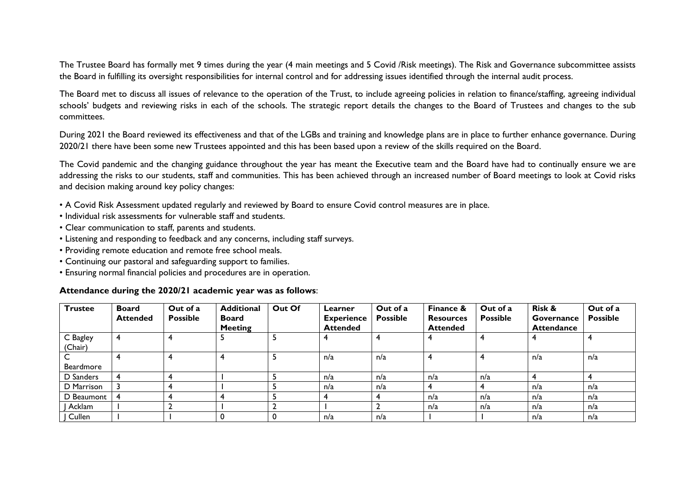The Trustee Board has formally met 9 times during the year (4 main meetings and 5 Covid /Risk meetings). The Risk and Governance subcommittee assists the Board in fulfilling its oversight responsibilities for internal control and for addressing issues identified through the internal audit process.

The Board met to discuss all issues of relevance to the operation of the Trust, to include agreeing policies in relation to finance/staffing, agreeing individual schools' budgets and reviewing risks in each of the schools. The strategic report details the changes to the Board of Trustees and changes to the sub committees.

During 2021 the Board reviewed its effectiveness and that of the LGBs and training and knowledge plans are in place to further enhance governance. During 2020/21 there have been some new Trustees appointed and this has been based upon a review of the skills required on the Board.

The Covid pandemic and the changing guidance throughout the year has meant the Executive team and the Board have had to continually ensure we are addressing the risks to our students, staff and communities. This has been achieved through an increased number of Board meetings to look at Covid risks and decision making around key policy changes:

- A Covid Risk Assessment updated regularly and reviewed by Board to ensure Covid control measures are in place.
- Individual risk assessments for vulnerable staff and students.
- Clear communication to staff, parents and students.
- Listening and responding to feedback and any concerns, including staff surveys.
- Providing remote education and remote free school meals.
- Continuing our pastoral and safeguarding support to families.
- Ensuring normal financial policies and procedures are in operation.

## **Attendance during the 2020/21 academic year was as follows**:

| <b>Trustee</b>      | <b>Board</b><br><b>Attended</b> | Out of a<br><b>Possible</b> | <b>Additional</b><br>Board<br><b>Meeting</b> | Out Of | Learner<br><b>Experience</b><br><b>Attended</b> | Out of a<br><b>Possible</b> | Finance &<br><b>Resources</b><br><b>Attended</b> | Out of a<br><b>Possible</b> | <b>Risk &amp;</b><br>Governance<br><b>Attendance</b> | Out of a<br><b>Possible</b> |
|---------------------|---------------------------------|-----------------------------|----------------------------------------------|--------|-------------------------------------------------|-----------------------------|--------------------------------------------------|-----------------------------|------------------------------------------------------|-----------------------------|
| C Bagley<br>(Chair) |                                 |                             |                                              |        |                                                 |                             |                                                  |                             |                                                      |                             |
| Beardmore           |                                 |                             |                                              |        | n/a                                             | n/a                         | 4                                                |                             | n/a                                                  | n/a                         |
| D Sanders           |                                 |                             |                                              |        | n/a                                             | n/a                         | n/a                                              | n/a                         |                                                      |                             |
| D Marrison          |                                 |                             |                                              |        | n/a                                             | n/a                         | 4                                                |                             | n/a                                                  | n/a                         |
| D Beaumont          |                                 |                             |                                              |        |                                                 |                             | n/a                                              | n/a                         | n/a                                                  | n/a                         |
| Acklam              |                                 |                             |                                              |        |                                                 |                             | n/a                                              | n/a                         | n/a                                                  | n/a                         |
| Cullen              |                                 |                             |                                              |        | n/a                                             | n/a                         |                                                  |                             | n/a                                                  | n/a                         |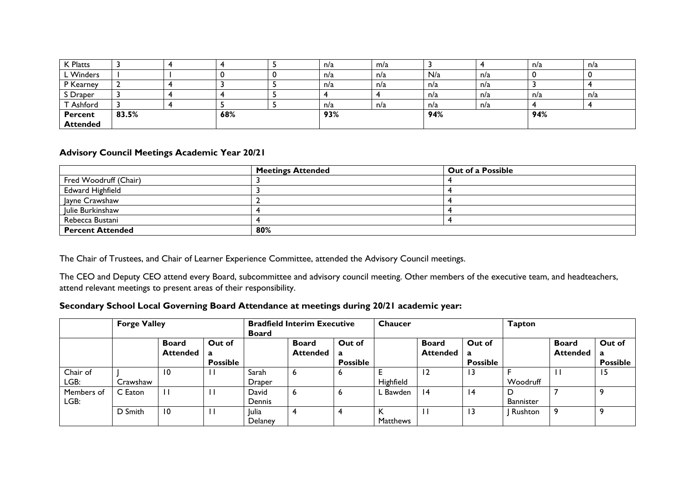| K Platts        |       |     | n/a | m/a |     |     | n/a | n/a |
|-----------------|-------|-----|-----|-----|-----|-----|-----|-----|
| L Winders       |       |     | n/a | n/a | N/a | n/a |     |     |
| P Kearney       |       |     | n/a | n/a | n/a | n/a |     |     |
| S Draper        |       |     |     |     | n/a | n/a | n/a | n/a |
| T Ashford       |       |     | n/a | n/a | n/a | n/a |     |     |
| <b>Percent</b>  | 83.5% | 68% | 93% |     | 94% |     | 94% |     |
| <b>Attended</b> |       |     |     |     |     |     |     |     |

## **Advisory Council Meetings Academic Year 20/21**

|                         | <b>Meetings Attended</b> | Out of a Possible |
|-------------------------|--------------------------|-------------------|
| Fred Woodruff (Chair)   |                          |                   |
| <b>Edward Highfield</b> |                          |                   |
| Jayne Crawshaw          |                          |                   |
| Julie Burkinshaw        |                          |                   |
| Rebecca Bustani         |                          |                   |
| <b>Percent Attended</b> | 80%                      |                   |

The Chair of Trustees, and Chair of Learner Experience Committee, attended the Advisory Council meetings.

The CEO and Deputy CEO attend every Board, subcommittee and advisory council meeting. Other members of the executive team, and headteachers, attend relevant meetings to present areas of their responsibility.

## **Secondary School Local Governing Board Attendance at meetings during 20/21 academic year:**

|                    | <b>Forge Valley</b> |                                 |                                | <b>Bradfield Interim Executive</b><br><b>Board</b> |                                 |                                | Chaucer   |                                 |                                | <b>Tapton</b>         |                                 |                                |
|--------------------|---------------------|---------------------------------|--------------------------------|----------------------------------------------------|---------------------------------|--------------------------------|-----------|---------------------------------|--------------------------------|-----------------------|---------------------------------|--------------------------------|
|                    |                     | <b>Board</b><br><b>Attended</b> | Out of<br>a<br><b>Possible</b> |                                                    | <b>Board</b><br><b>Attended</b> | Out of<br>a<br><b>Possible</b> |           | <b>Board</b><br><b>Attended</b> | Out of<br>a<br><b>Possible</b> |                       | <b>Board</b><br><b>Attended</b> | Out of<br>a<br><b>Possible</b> |
| Chair of<br>LGB:   | Crawshaw            | $\overline{10}$                 |                                | Sarah<br>Draper                                    | 6                               | ь                              | Highfield | $\overline{12}$                 | 13                             | Woodruff              | $\mathbf{L}$                    | 15                             |
| Members of<br>LGB: | C Eaton             |                                 |                                | David<br>Dennis                                    | 6                               | ь                              | ∟ Bawden  | 4                               | 14                             | D<br><b>Bannister</b> |                                 | 9                              |
|                    | D Smith             | 10                              |                                | <b>Julia</b><br><b>Delaney</b>                     | 4                               |                                | Matthews  |                                 | 13                             | Rushton               |                                 | 9                              |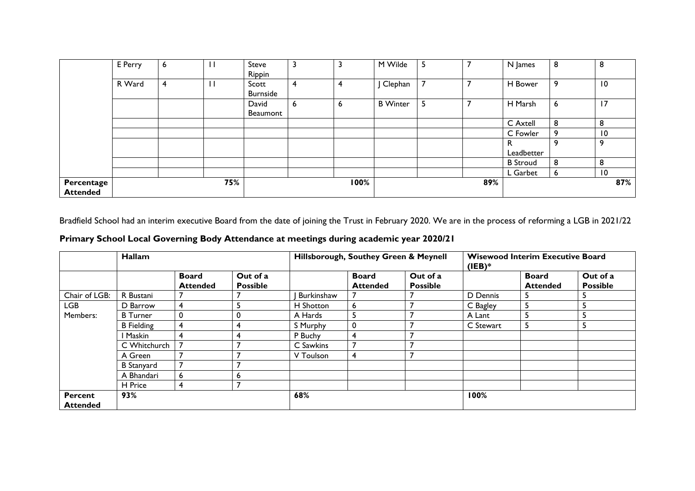|                               | E Perry | 6 |     | <b>Steve</b><br>Rippin   | 3 | 3    | M Wilde         | 5 |     | N James         | 8 | 8               |
|-------------------------------|---------|---|-----|--------------------------|---|------|-----------------|---|-----|-----------------|---|-----------------|
|                               | R Ward  | 4 |     | Scott<br><b>Burnside</b> | 4 | 4    | Clephan         | 7 |     | H Bower         | 9 | $\overline{10}$ |
|                               |         |   |     | David<br><b>Beaumont</b> | 6 | 6    | <b>B</b> Winter | 5 |     | H Marsh         | 6 | 17              |
|                               |         |   |     |                          |   |      |                 |   |     | C Axtell        | 8 | 8               |
|                               |         |   |     |                          |   |      |                 |   |     | C Fowler        | 9 | $\overline{10}$ |
|                               |         |   |     |                          |   |      |                 |   |     | к<br>Leadbetter | 9 | 9               |
|                               |         |   |     |                          |   |      |                 |   |     | <b>B</b> Stroud | 8 | 8               |
|                               |         |   |     |                          |   |      |                 |   |     | L Garbet        | 6 | $\overline{10}$ |
| Percentage<br><b>Attended</b> |         |   | 75% |                          |   | 100% |                 |   | 89% |                 |   | 87%             |

Bradfield School had an interim executive Board from the date of joining the Trust in February 2020. We are in the process of reforming a LGB in 2021/22

| Primary School Local Governing Body Attendance at meetings during academic year 2020/21 |  |  |
|-----------------------------------------------------------------------------------------|--|--|
|                                                                                         |  |  |

|                 | Hallam            |                                 |                             |            | Hillsborough, Southey Green & Meynell |                             |           | <b>Wisewood Interim Executive Board</b><br>$(IEB)*$ |                             |  |  |
|-----------------|-------------------|---------------------------------|-----------------------------|------------|---------------------------------------|-----------------------------|-----------|-----------------------------------------------------|-----------------------------|--|--|
|                 |                   | <b>Board</b><br><b>Attended</b> | Out of a<br><b>Possible</b> |            | <b>Board</b><br><b>Attended</b>       | Out of a<br><b>Possible</b> |           | <b>Board</b><br><b>Attended</b>                     | Out of a<br><b>Possible</b> |  |  |
| Chair of LGB:   | R Bustani         |                                 |                             | Burkinshaw |                                       |                             | D Dennis  | C                                                   | د                           |  |  |
| <b>LGB</b>      | D Barrow          | 4                               | э                           | H Shotton  | 6                                     | 7                           | C Bagley  | 5                                                   | ь                           |  |  |
| Members:        | <b>B</b> Turner   | $\mathbf{0}$                    | 0                           | A Hards    | 5                                     | 7                           | A Lant    | 5                                                   | c                           |  |  |
|                 | <b>B</b> Fielding | 4                               | 4                           | S Murphy   | 0                                     | ┓                           | C Stewart | 5                                                   | ь                           |  |  |
|                 | Maskin            | 4                               | 4                           | P Buchy    | 4                                     |                             |           |                                                     |                             |  |  |
|                 | C Whitchurch      | $\overline{ }$                  |                             | C Sawkins  | $\overline{7}$                        |                             |           |                                                     |                             |  |  |
|                 | A Green           |                                 |                             | V Toulson  | 4                                     | 7                           |           |                                                     |                             |  |  |
|                 | <b>B</b> Stanyard |                                 |                             |            |                                       |                             |           |                                                     |                             |  |  |
|                 | A Bhandari        | 6                               | ь                           |            |                                       |                             |           |                                                     |                             |  |  |
|                 | H Price           | 4                               |                             |            |                                       |                             |           |                                                     |                             |  |  |
| <b>Percent</b>  | 93%               |                                 |                             | 68%        |                                       |                             |           | 100%                                                |                             |  |  |
| <b>Attended</b> |                   |                                 |                             |            |                                       |                             |           |                                                     |                             |  |  |